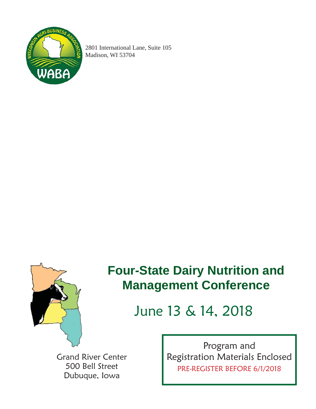

2801 International Lane, Suite 105 Madison, WI 53704



## **Four-State Dairy Nutrition and Management Conference**

# June 13 & 14, 2018

Grand River Center 500 Bell Street Dubuque, Iowa

Program and Registration Materials Enclosed PRE-REGISTER BEFORE 6/1/2018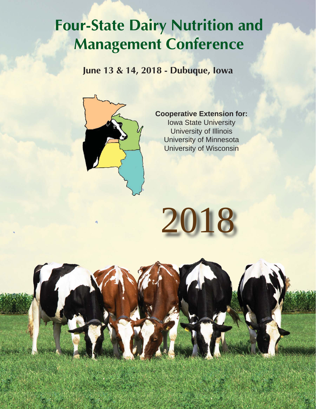# **Four-State Dairy Nutrition and Management Conference**

**June 13 & 14, 2018 - Dubuque, Iowa**



## **Cooperative Extension for:** Iowa State University University of Illinois University of Minnesota University of Wisconsin

2018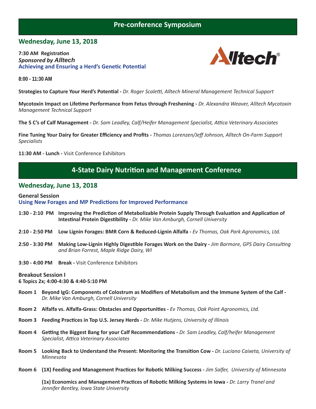## **Pre-conference Symposium**

#### **Wednesday, June 13, 2018**

**7:30 AM Registration** *Sponsored by Alltech* **Achieving and Ensuring a Herd's Genetic Potential** 



**8:00 - 11:30 AM**

**Strategies to Capture Your Herd's PotenƟ al -** *Dr. Roger Scaleƫ , Alltech Mineral Management Technical Support*

**Mycotoxin Impact on Lifetime Performance from Fetus through Freshening - Dr. Alexandra Weaver, Alltech Mycotoxin** *Management Technical Support*

**The 5 C's of Calf Management -** *Dr. Sam Leadley, Calf/Heifer Management Specialist, Aƫ ca Veterinary Associates*

**Fine Tuning Your Dairy for Greater Effi ciency and Profi ts -** *Thomas Lorenzen/Jeff Johnson, Alltech On-Farm Support Specialists*

**11:30 AM - Lunch -** Visit Conference Exhibitors

### **4-State Dairy Nutrition and Management Conference**

#### **Wednesday, June 13, 2018**

#### **General Session Using New Forages and MP Predictions for Improved Performance**

- **1:30 2:10 PM Improving the PredicƟ on of Metabolizable Protein Supply Through EvaluaƟ on and ApplicaƟ on of IntesƟ nal Protein DigesƟ bility -** *Dr. Mike Van Amburgh, Cornell University*
- **2:10 2:50 PM Low Lignin Forages: BMR Corn & Reduced-Lignin Alfalfa** *Ev Thomas, Oak Park Agronomics, Ltd.*
- 2:50 3:30 PM Making Low-Lignin Highly Digestible Forages Work on the Dairy *Jim Barmore, GPS Dairy Consulting and Brian Forrest, Maple Ridge Dairy, WI*
- **3:30 4:00 PM Break** Visit Conference Exhibitors

#### **Breakout Session I**

#### **6 Topics 2x; 4:00-4:30 & 4:40-5:10 PM**

- Room 1 Beyond IgG: Components of Colostrum as Modifiers of Metabolism and the Immune System of the Calf -*Dr. Mike Van Amburgh, Cornell University*
- **Room 2** Alfalfa vs. Alfalfa-Grass: Obstacles and Opportunities *Ev Thomas, Oak Point Agronomics, Ltd.*
- **Room 3 Feeding PracƟ ces in Top U.S. Jersey Herds** *Dr. Mike Hutjens, University of Illinois*
- **Room 4 Geƫ ng the Biggest Bang for your Calf RecommendaƟ ons** *Dr. Sam Leadley, Calf/heifer Management Specialist, Aƫ ca Veterinary Associates*
- **Room 5 Looking Back to Understand the Present: Monitoring the Transition Cow Dr. Luciano Caixeta, University of**  *Minnesota*
- **Room 6 (1X) Feeding and Management PracƟ ces for RoboƟ c Milking Success** *Jim Salfer, University of Minnesota*

 **(1x) Economics and Management PracƟ ces of RoboƟ c Milking Systems in Iowa -** *Dr. Larry Tranel and Jennifer Bentley, Iowa State University*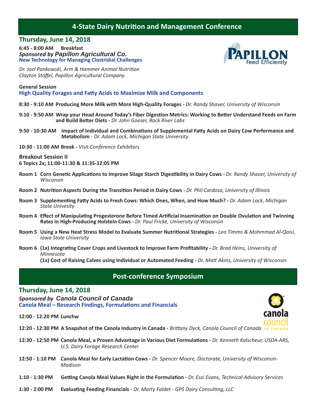## **4-State Dairy Nutrition and Management Conference**

#### **Thursday, June 14, 2018**

**6:45 - 8:00 AM Breakfast** *Sponsored by Papillon Agricultural Co.* **New Technology for Managing Clostridial Challenges**

*Dr. Joel Pankowski, Arm & Hammer Animal Nutrition Clayton Stoff el, Papillon Agricultural Company*

**General Session High Quality Forages and Fatty Acids to Maximize Milk and Components** 

**8:30 - 9:10 AM Producing More Milk with More High-Quality Forages -** *Dr. Randy Shaver, University of Wisconsin*

- **9:10 9:50 AM Wrap your Head Around Today's Fiber DigesƟ on Metrics: Working to BeƩ er Understand Feeds on Farm and Build BeƩ er Diets -** *Dr. John Goeser, Rock River Labs*
- **9:50 10:30 AM Impact of Individual and CombinaƟ ons of Supplemental FaƩ y Acids on Dairy Cow Performance and Metabolism** - *Dr. Adam Lock, Michigan State University*

**10:30 - 11:00 AM Break -** *Visit Conference Exhibitors* 

**Breakout Session II 6 Topics 2x; 11:00-11:30 & 11:35-12:05 PM**

- **Room 1 Corn GeneƟ c ApplicaƟ ons to Improve Silage Starch DigesƟ bility in Dairy Cows** *Dr. Randy Shaver, University of Wisconsin*
- **Room 2 NutriƟ on Aspects During the TransiƟ on Period in Dairy Cows** *Dr. Phil Cardoso, University of Illinois*
- **Room 3 SupplemenƟ ng FaƩ y Acids to Fresh Cows: Which Ones, When, and How Much?** *Dr. Adam Lock, Michigan State Univesity*
- **Room 4 Eff ect of ManipulaƟ ng Progesterone Before Timed ArƟfi cial InseminaƟ on on Double OvulaƟ on and Twinning Rates in High-Producing Holstein Cows -** *Dr. Paul Fricke, University of Wisconsin*
- **Room 5 Using a New Heat Stress Model to Evaluate Summer Nutritional Strategies Leo Timms & Mohmmad Al-Qaisi,**  *Iowa State University*
- **Room 6 (1x) Integrating Cover Crops and Livestock to Improve Farm Profitability** *Dr. Brad Heins, University of Minnesota*

 **(1x) Cost of Raising Calves using Individual or Automated Feeding -** *Dr. MaƩ Akins, University of Wisconsin*

## **Post-conference Symposium**

#### **Thursday, June 14, 2018**

*Sponsored by Canola Council of Canada*  **Canola Meal – Research Findings, Formulations and Financials** 

**12:00 - 12:20 PM Lunchw**



- **12:20 12:30 PM A Snapshot of the Canola Industry in Canada** *Brittany Dyck, Canola Council of Canada* **<b>of Canad**
- **12:30 12:50 PM Canola Meal, a Proven Advantage in Various Diet FormulaƟ ons** *Dr. Kenneth Kalscheur, USDA-ARS, U.S. Dairy Forage Research Center*
- **12:50 1:10 PM Canola Meal for Early LactaƟ on Cows** *Dr. Spencer Moore, Doctorate, University of Wisconsin- Madison*
- **1:10 1:30 PM Geƫ ng Canola Meal Values Right in the FormulaƟ on** *Dr. Essi Evans, Technical Advisory Services*
- **1:30 2:00 PM Evaluating Feeding Financials** *Dr. Marty Faldet GPS Dairy Consulting, LLC*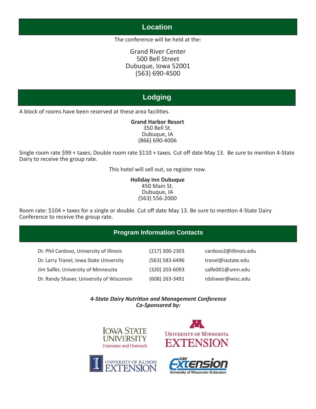## **Location**

The conference will be held at the:

Grand River Center 500 Bell Street Dubuque, Iowa 52001 (563) 690-4500

## **Lodging**

A block of rooms have been reserved at these area facilities.

**Grand Harbor Resort** 350 Bell St. Dubuque, IA (866) 690-4006

Single room rate \$99 + taxes; Double room rate \$110 + taxes. Cut off date May 13. Be sure to mention 4-State Dairy to receive the group rate.

This hotel will sell out, so register now.

**Holiday Inn Dubuque** 450 Main St. Dubuque, IA (563) 556-2000

Room rate: \$104 + taxes for a single or double. Cut off date May 13. Be sure to mention 4-State Dairy Conference to receive the group rate.

#### **Program Information Contacts**

| Dr. Phil Cardoso, University of Illinois  | $(217)$ 300-2303 | cardoso2@illinois.edu |
|-------------------------------------------|------------------|-----------------------|
| Dr. Larry Tranel, Iowa State University   | (563) 583-6496   | tranel@iastate.edu    |
| Jim Salfer, University of Minnesota       | (320) 203-6093   | salfe001@umn.edu      |
| Dr. Randy Shaver, University of Wisconsin | (608) 263-3491   | rdshaver@wisc.edu     |

*4-State Dairy NutriƟ on and Management Conference Co-Sponsored by:*







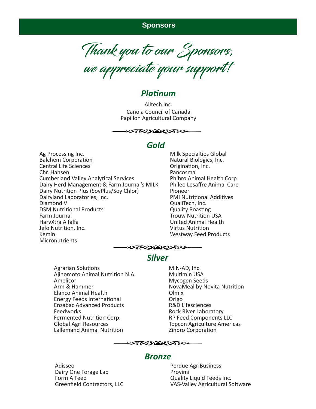#### **Sponsors**

Thank you to our Sponsors, we appreciate your support!

## *PlaƟ num*

Alltech Inc. Canola Council of Canada Papillon Agricultural Company



## *Gold*

Ag Processing Inc. **Balchem Corporation** Central Life Sciences Chr. Hansen Cumberland Valley Analytical Services Dairy Herd Management & Farm Journal's MILK Dairy Nutrition Plus (SoyPlus/Soy Chlor) Dairyland Laboratories, Inc. Diamond V DSM Nutritional Products Farm Journal HarvXtra Alfalfa Jefo Nutrition, Inc. Kemin Micronutrients

Milk Specialties Global Natural Biologics, Inc. Origination, Inc. Pancosma Phibro Animal Health Corp Phileo Lesaffre Animal Care Pioneer PMI Nutritional Additives QualiTech, Inc. **Quality Roasting Trouw Nutrition USA** United Animal Health Virtus NutriƟ on Westway Feed Products



## *Silver*

- Agrarian Solutions Ajinomoto Animal Nutrition N.A. Amelicor Arm & Hammer Elanco Animal Health Energy Feeds International Enzabac Advanced Products **Feedworks** Fermented Nutrition Corp. Global Agri Resources Lallemand Animal Nutrition
- MIN-AD, Inc. **Multimin USA** Mycogen Seeds NovaMeal by Novita Nutrition Olmix Origo R&D Lifesciences Rock River Laboratory RP Feed Components LLC Topcon Agriculture Americas Zinpro Corporation



#### *Bronze*

Adisseo Dairy One Forage Lab Form A Feed Greenfield Contractors, LLC Perdue AgriBusiness Provimi Quality Liquid Feeds Inc. VAS-Valley Agricultural Software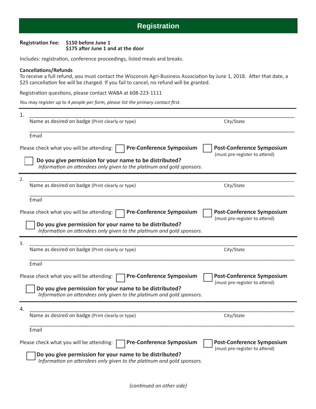#### **RegistraƟ on Fee: \$150 before June 1** \$175 after June 1 and at the door

Includes: registration, conference proceedings, listed meals and breaks.

#### **CancellaƟ ons/Refunds**

To receive a full refund, you must contact the Wisconsin Agri-Business Association by June 1, 2018. After that date, a \$25 cancellation fee will be charged. If you fail to cancel, no refund will be granted.

Registration questions, please contact WABA at 608-223-1111

*You may register up to 4 people per form, please list the primary contact first.* 

| City/State                                                                                                                                                         |  |  |  |  |
|--------------------------------------------------------------------------------------------------------------------------------------------------------------------|--|--|--|--|
|                                                                                                                                                                    |  |  |  |  |
| <b>Post-Conference Symposium</b><br>(must pre-register to attend)                                                                                                  |  |  |  |  |
|                                                                                                                                                                    |  |  |  |  |
|                                                                                                                                                                    |  |  |  |  |
| City/State                                                                                                                                                         |  |  |  |  |
|                                                                                                                                                                    |  |  |  |  |
| <b>Post-Conference Symposium</b><br>(must pre-register to attend)                                                                                                  |  |  |  |  |
|                                                                                                                                                                    |  |  |  |  |
|                                                                                                                                                                    |  |  |  |  |
| City/State                                                                                                                                                         |  |  |  |  |
|                                                                                                                                                                    |  |  |  |  |
| <b>Post-Conference Symposium</b>                                                                                                                                   |  |  |  |  |
| (must pre-register to attend)<br>Do you give permission for your name to be distributed?<br>Information on attendees only given to the platinum and gold sponsors. |  |  |  |  |
|                                                                                                                                                                    |  |  |  |  |
|                                                                                                                                                                    |  |  |  |  |
| City/State                                                                                                                                                         |  |  |  |  |
|                                                                                                                                                                    |  |  |  |  |
| <b>Post-Conference Symposium</b><br>(must pre-register to attend)                                                                                                  |  |  |  |  |
|                                                                                                                                                                    |  |  |  |  |